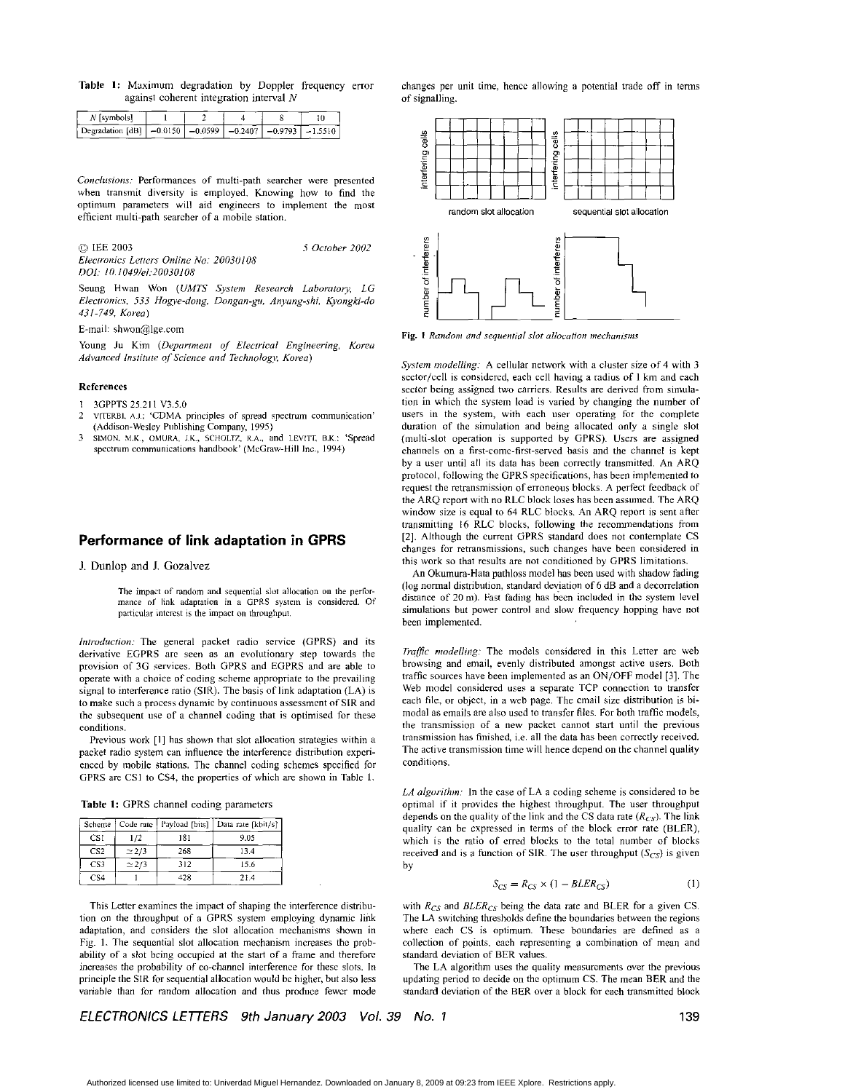Table 1: Maximum degradation by Doppler frequency error against coherent integration interval  $N$ 

| N [symbols]                                                                  |  |  |  |
|------------------------------------------------------------------------------|--|--|--|
| Degradation [dB1   $-0.0150$   $-0.0599$   $-0.2407$   $-0.9793$   $-1.5510$ |  |  |  |

Conclusions: Performances of multi-path searcher were presented when transmit diversity is employed. Knowing how to find the optimum parameters will aid engineers to implement the most efficient multi-path searcher of a mobile station.

# © IEE 2003

Electronics Letters Online No: 20030108 DOI: 10.1049/el:20030108

Seung Hwan Won (UMTS System Research Laboratory, LG Electronics, 533 Hogye-dong, Dongan-gu, Anyang-shi, Kyongki-do 431-749. Korea)

5 October 2002

E-mail: shwon@lge.com

Young Ju Kim (Department of Electrical Engineering, Korea Advanced Institute of Science and Technology, Korea)

### **References**

3GPPTS 25.211 V3.5.0

- VITERBI, A.J.; 'CDMA principles of spread spectrum communication'  $\overline{2}$ (Addison-Wesley Publishing Company, 1995)
- SIMON, M.K., OMURA, J.K., SCHOLTZ, R.A., and LEVITT, B.K.: 'Spread 3 spectrum communications handbook' (McGraw-Hill Inc., 1994)

## Performance of link adaptation in GPRS

### J. Dunlop and J. Gozalvez

The impact of random and sequential slot allocation on the performance of link adaptation in a GPRS system is considered. Of particular interest is the impact on throughput.

Introduction: The general packet radio service (GPRS) and its derivative EGPRS are seen as an evolutionary step towards the provision of 3G services. Both GPRS and EGPRS and are able to operate with a choice of coding scheme appropriate to the prevailing signal to interference ratio (SIR). The basis of link adaptation (LA) is to make such a process dynamic by continuous assessment of SIR and the subsequent use of a channel coding that is optimised for these conditions

Previous work [1] has shown that slot allocation strategies within a packet radio system can influence the interference distribution experienced by mobile stations. The channel coding schemes specified for GPRS are CS1 to CS4, the properties of which are shown in Table 1.

Table 1: GPRS channel coding parameters

|                 | Scheme   Code rate | Payload [bits] | Data rate [kbit/s] |
|-----------------|--------------------|----------------|--------------------|
| CS1             | 172                | 181            | 9.05               |
| CS <sub>2</sub> | $\simeq$ 2/3       | 268            | 13.4               |
| CS <sub>3</sub> | $\simeq$ 2/3       | 312            | 15.6               |
| CS <sub>4</sub> |                    | 428            | 21.4               |

This Letter examines the impact of shaping the interference distribution on the throughput of a GPRS system employing dynamic link adaptation, and considers the slot allocation mechanisms shown in Fig. 1. The sequential slot allocation mechanism increases the probability of a slot being occupied at the start of a frame and therefore increases the probability of co-channel interference for these slots. In principle the SIR for sequential allocation would be higher, but also less variable than for random allocation and thus produce fewer mode

changes per unit time, hence allowing a potential trade off in terms of signalling.



Fig. 1 Random and sequential slot allocation mechanisms

System modelling: A cellular network with a cluster size of 4 with 3 sector/cell is considered, each cell having a radius of 1 km and each sector being assigned two carriers. Results are derived from simulation in which the system load is varied by changing the number of users in the system, with each user operating for the complete duration of the simulation and being allocated only a single slot (multi-slot operation is supported by GPRS). Users are assigned channels on a first-come-first-served basis and the channel is kept by a user until all its data has been correctly transmitted. An ARO protocol, following the GPRS specifications, has been implemented to request the retransmission of erroneous blocks. A perfect feedback of the ARQ report with no RLC block loses has been assumed. The ARQ window size is equal to 64 RLC blocks. An ARQ report is sent after transmitting 16 RLC blocks, following the recommendations from [2]. Although the current GPRS standard does not contemplate CS changes for retransmissions, such changes have been considered in this work so that results are not conditioned by GPRS limitations.

An Okumura-Hata pathloss model has been used with shadow fading (log normal distribution, standard deviation of 6 dB and a decorrelation distance of 20 m). Fast fading has been included in the system level simulations but power control and slow frequency hopping have not been implemented.

Traffic modelling: The models considered in this Letter are web browsing and email, evenly distributed amongst active users. Both traffic sources have been implemented as an ON/OFF model [3]. The Web model considered uses a separate TCP connection to transfer each file, or object, in a web page. The email size distribution is bimodal as emails are also used to transfer files. For both traffic models, the transmission of a new packet cannot start until the previous transmission has finished, i.e. all the data has been correctly received. The active transmission time will hence depend on the channel quality conditions.

LA algorithm: In the case of LA a coding scheme is considered to be optimal if it provides the highest throughput. The user throughput depends on the quality of the link and the CS data rate  $(R_{CS})$ . The link quality can be expressed in terms of the block error rate (BLER), which is the ratio of erred blocks to the total number of blocks received and is a function of SIR. The user throughput  $(S_{CS})$  is given by

$$
S_{CS} = R_{CS} \times (1 - BLER_{CS}) \tag{1}
$$

with  $R_{CS}$  and  $BLER_{CS}$  being the data rate and BLER for a given CS. The LA switching thresholds define the boundaries between the regions where each CS is optimum. These boundaries are defined as a collection of points, each representing a combination of mean and standard deviation of BER values.

The LA algorithm uses the quality measurements over the previous updating period to decide on the optimum CS. The mean BER and the standard deviation of the BER over a block for each transmitted block

ELECTRONICS LETTERS 9th January 2003 Vol. 39 No. 1